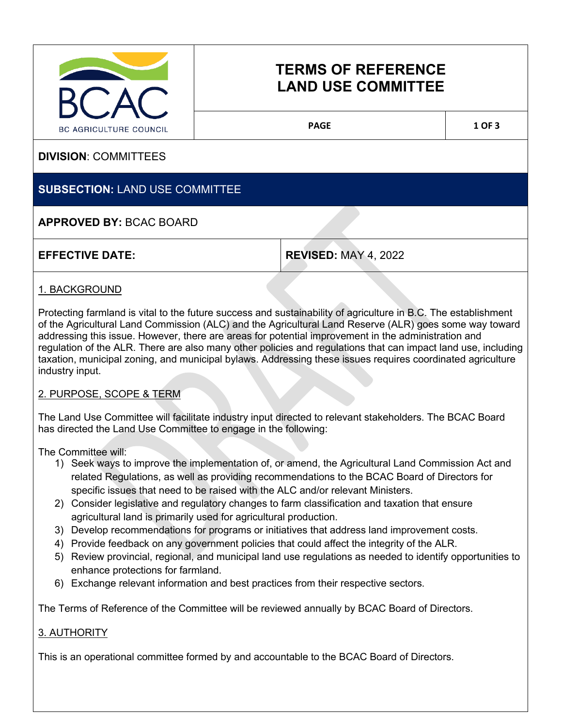

# **TERMS OF REFERENCE LAND USE COMMITTEE**

PAGE 1 OF 3

**DIVISION**: COMMITTEES

## **SUBSECTION:** LAND USE COMMITTEE

### **APPROVED BY:** BCAC BOARD

**EFFECTIVE DATE: REVISED:** MAY 4, 2022

#### 1. BACKGROUND

Protecting farmland is vital to the future success and sustainability of agriculture in B.C. The establishment of the Agricultural Land Commission (ALC) and the Agricultural Land Reserve (ALR) goes some way toward addressing this issue. However, there are areas for potential improvement in the administration and regulation of the ALR. There are also many other policies and regulations that can impact land use, including taxation, municipal zoning, and municipal bylaws. Addressing these issues requires coordinated agriculture industry input.

#### 2. PURPOSE, SCOPE & TERM

The Land Use Committee will facilitate industry input directed to relevant stakeholders. The BCAC Board has directed the Land Use Committee to engage in the following:

The Committee will:

- 1) Seek ways to improve the implementation of, or amend, the Agricultural Land Commission Act and related Regulations, as well as providing recommendations to the BCAC Board of Directors for specific issues that need to be raised with the ALC and/or relevant Ministers.
- 2) Consider legislative and regulatory changes to farm classification and taxation that ensure agricultural land is primarily used for agricultural production.
- 3) Develop recommendations for programs or initiatives that address land improvement costs.
- 4) Provide feedback on any government policies that could affect the integrity of the ALR.
- 5) Review provincial, regional, and municipal land use regulations as needed to identify opportunities to enhance protections for farmland.
- 6) Exchange relevant information and best practices from their respective sectors.

The Terms of Reference of the Committee will be reviewed annually by BCAC Board of Directors.

#### 3. AUTHORITY

This is an operational committee formed by and accountable to the BCAC Board of Directors.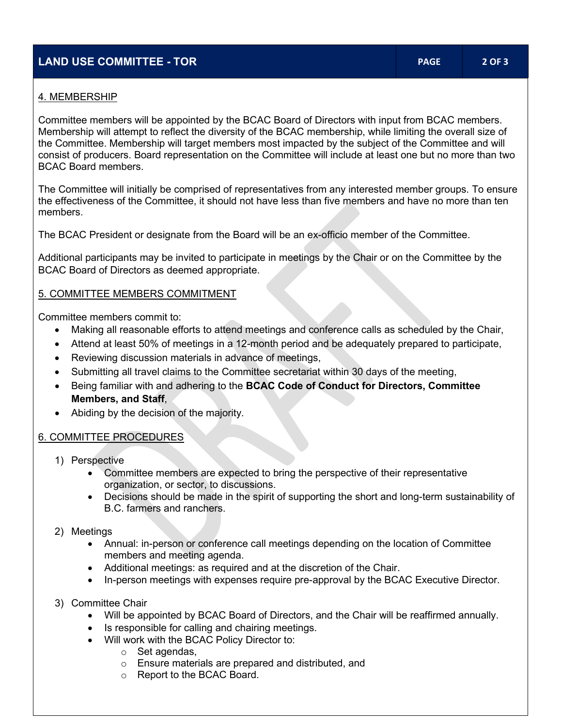#### **LAND USE COMMITTEE - TOR PAGE 2 OF 3**

#### 4. MEMBERSHIP

Committee members will be appointed by the BCAC Board of Directors with input from BCAC members. Membership will attempt to reflect the diversity of the BCAC membership, while limiting the overall size of the Committee. Membership will target members most impacted by the subject of the Committee and will consist of producers. Board representation on the Committee will include at least one but no more than two BCAC Board members.

The Committee will initially be comprised of representatives from any interested member groups. To ensure the effectiveness of the Committee, it should not have less than five members and have no more than ten members.

The BCAC President or designate from the Board will be an ex-officio member of the Committee.

Additional participants may be invited to participate in meetings by the Chair or on the Committee by the BCAC Board of Directors as deemed appropriate.

#### 5. COMMITTEE MEMBERS COMMITMENT

Committee members commit to:

- Making all reasonable efforts to attend meetings and conference calls as scheduled by the Chair,
- Attend at least 50% of meetings in a 12-month period and be adequately prepared to participate,
- Reviewing discussion materials in advance of meetings,
- Submitting all travel claims to the Committee secretariat within 30 days of the meeting,
- Being familiar with and adhering to the **BCAC Code of Conduct for Directors, Committee Members, and Staff**,
- Abiding by the decision of the majority.

#### 6. COMMITTEE PROCEDURES

- 1) Perspective
	- Committee members are expected to bring the perspective of their representative organization, or sector, to discussions.
	- Decisions should be made in the spirit of supporting the short and long-term sustainability of B.C. farmers and ranchers.
- 2) Meetings
	- Annual: in-person or conference call meetings depending on the location of Committee members and meeting agenda.
	- Additional meetings: as required and at the discretion of the Chair.
	- In-person meetings with expenses require pre-approval by the BCAC Executive Director.
- 3) Committee Chair
	- Will be appointed by BCAC Board of Directors, and the Chair will be reaffirmed annually.
	- Is responsible for calling and chairing meetings.
	- Will work with the BCAC Policy Director to:
		- o Set agendas,
		- o Ensure materials are prepared and distributed, and
		- o Report to the BCAC Board.